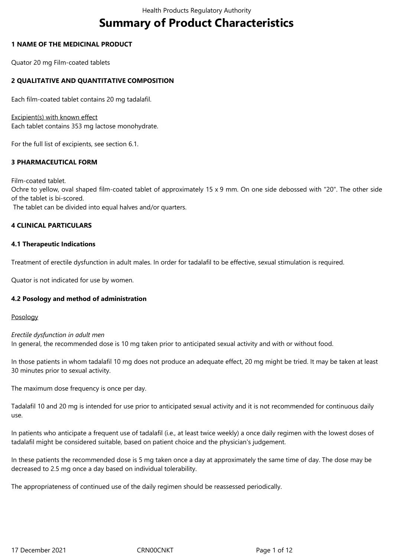# **Summary of Product Characteristics**

## **1 NAME OF THE MEDICINAL PRODUCT**

Quator 20 mg Film-coated tablets

# **2 QUALITATIVE AND QUANTITATIVE COMPOSITION**

Each film-coated tablet contains 20 mg tadalafil.

Excipient(s) with known effect Each tablet contains 353 mg lactose monohydrate.

For the full list of excipients, see section 6.1.

# **3 PHARMACEUTICAL FORM**

Film-coated tablet. Ochre to yellow, oval shaped film-coated tablet of approximately 15 x 9 mm. On one side debossed with "20". The other side of the tablet is bi-scored.

The tablet can be divided into equal halves and/or quarters.

# **4 CLINICAL PARTICULARS**

## **4.1 Therapeutic Indications**

Treatment of erectile dysfunction in adult males. In order for tadalafil to be effective, sexual stimulation is required.

Quator is not indicated for use by women.

# **4.2 Posology and method of administration**

Posology

*Erectile dysfunction in adult men* In general, the recommended dose is 10 mg taken prior to anticipated sexual activity and with or without food.

In those patients in whom tadalafil 10 mg does not produce an adequate effect, 20 mg might be tried. It may be taken at least 30 minutes prior to sexual activity.

The maximum dose frequency is once per day.

Tadalafil 10 and 20 mg is intended for use prior to anticipated sexual activity and it is not recommended for continuous daily use.

In patients who anticipate a frequent use of tadalafil (i.e., at least twice weekly) a once daily regimen with the lowest doses of tadalafil might be considered suitable, based on patient choice and the physician's judgement.

In these patients the recommended dose is 5 mg taken once a day at approximately the same time of day. The dose may be decreased to 2.5 mg once a day based on individual tolerability.

The appropriateness of continued use of the daily regimen should be reassessed periodically.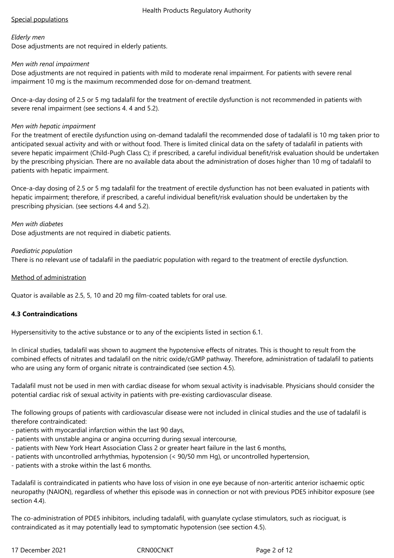# Special populations

## *Elderly men*

Dose adjustments are not required in elderly patients.

## *Men with renal impairment*

Dose adjustments are not required in patients with mild to moderate renal impairment. For patients with severe renal impairment 10 mg is the maximum recommended dose for on-demand treatment.

Once-a-day dosing of 2.5 or 5 mg tadalafil for the treatment of erectile dysfunction is not recommended in patients with severe renal impairment (see sections 4. 4 and 5.2).

# *Men with hepatic impairment*

For the treatment of erectile dysfunction using on-demand tadalafil the recommended dose of tadalafil is 10 mg taken prior to anticipated sexual activity and with or without food. There is limited clinical data on the safety of tadalafil in patients with severe hepatic impairment (Child-Pugh Class C); if prescribed, a careful individual benefit/risk evaluation should be undertaken by the prescribing physician. There are no available data about the administration of doses higher than 10 mg of tadalafil to patients with hepatic impairment.

Once-a-day dosing of 2.5 or 5 mg tadalafil for the treatment of erectile dysfunction has not been evaluated in patients with hepatic impairment; therefore, if prescribed, a careful individual benefit/risk evaluation should be undertaken by the prescribing physician. (see sections 4.4 and 5.2).

## *Men with diabetes*

Dose adjustments are not required in diabetic patients.

#### *Paediatric population* There is no relevant use of tadalafil in the paediatric population with regard to the treatment of erectile dysfunction.

## Method of administration

Quator is available as 2.5, 5, 10 and 20 mg film-coated tablets for oral use.

# **4.3 Contraindications**

Hypersensitivity to the active substance or to any of the excipients listed in section 6.1.

In clinical studies, tadalafil was shown to augment the hypotensive effects of nitrates. This is thought to result from the combined effects of nitrates and tadalafil on the nitric oxide/cGMP pathway. Therefore, administration of tadalafil to patients who are using any form of organic nitrate is contraindicated (see section 4.5).

Tadalafil must not be used in men with cardiac disease for whom sexual activity is inadvisable. Physicians should consider the potential cardiac risk of sexual activity in patients with pre-existing cardiovascular disease.

The following groups of patients with cardiovascular disease were not included in clinical studies and the use of tadalafil is therefore contraindicated:

- patients with myocardial infarction within the last 90 days,
- patients with unstable angina or angina occurring during sexual intercourse,
- patients with New York Heart Association Class 2 or greater heart failure in the last 6 months,
- patients with uncontrolled arrhythmias, hypotension (< 90/50 mm Hg), or uncontrolled hypertension,
- patients with a stroke within the last 6 months.

Tadalafil is contraindicated in patients who have loss of vision in one eye because of non-arteritic anterior ischaemic optic neuropathy (NAION), regardless of whether this episode was in connection or not with previous PDE5 inhibitor exposure (see section 4.4).

The co-administration of PDE5 inhibitors, including tadalafil, with guanylate cyclase stimulators, such as riociguat, is contraindicated as it may potentially lead to symptomatic hypotension (see section 4.5).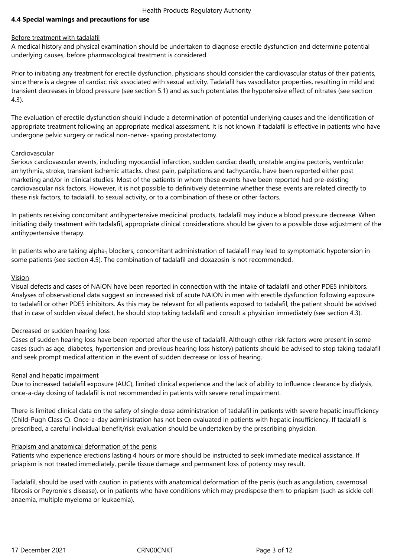# **4.4 Special warnings and precautions for use**

## Before treatment with tadalafil

A medical history and physical examination should be undertaken to diagnose erectile dysfunction and determine potential underlying causes, before pharmacological treatment is considered.

Prior to initiating any treatment for erectile dysfunction, physicians should consider the cardiovascular status of their patients, since there is a degree of cardiac risk associated with sexual activity. Tadalafil has vasodilator properties, resulting in mild and transient decreases in blood pressure (see section 5.1) and as such potentiates the hypotensive effect of nitrates (see section 4.3).

The evaluation of erectile dysfunction should include a determination of potential underlying causes and the identification of appropriate treatment following an appropriate medical assessment. It is not known if tadalafil is effective in patients who have undergone pelvic surgery or radical non-nerve- sparing prostatectomy.

## **Cardiovascular**

Serious cardiovascular events, including myocardial infarction, sudden cardiac death, unstable angina pectoris, ventricular arrhythmia, stroke, transient ischemic attacks, chest pain, palpitations and tachycardia, have been reported either post marketing and/or in clinical studies. Most of the patients in whom these events have been reported had pre-existing cardiovascular risk factors. However, it is not possible to definitively determine whether these events are related directly to these risk factors, to tadalafil, to sexual activity, or to a combination of these or other factors.

In patients receiving concomitant antihypertensive medicinal products, tadalafil may induce a blood pressure decrease. When initiating daily treatment with tadalafil, appropriate clinical considerations should be given to a possible dose adjustment of the antihypertensive therapy.

In patients who are taking alpha<sub>1</sub> blockers, concomitant administration of tadalafil may lead to symptomatic hypotension in some patients (see section 4.5). The combination of tadalafil and doxazosin is not recommended.

## Vision

Visual defects and cases of NAION have been reported in connection with the intake of tadalafil and other PDE5 inhibitors. Analyses of observational data suggest an increased risk of acute NAION in men with erectile dysfunction following exposure to tadalafil or other PDE5 inhibitors. As this may be relevant for all patients exposed to tadalafil, the patient should be advised that in case of sudden visual defect, he should stop taking tadalafil and consult a physician immediately (see section 4.3).

# Decreased or sudden hearing loss

Cases of sudden hearing loss have been reported after the use of tadalafil. Although other risk factors were present in some cases (such as age, diabetes, hypertension and previous hearing loss history) patients should be advised to stop taking tadalafil and seek prompt medical attention in the event of sudden decrease or loss of hearing.

# Renal and hepatic impairment

Due to increased tadalafil exposure (AUC), limited clinical experience and the lack of ability to influence clearance by dialysis, once-a-day dosing of tadalafil is not recommended in patients with severe renal impairment.

There is limited clinical data on the safety of single-dose administration of tadalafil in patients with severe hepatic insufficiency (Child-Pugh Class C). Once-a-day administration has not been evaluated in patients with hepatic insufficiency. If tadalafil is prescribed, a careful individual benefit/risk evaluation should be undertaken by the prescribing physician.

## Priapism and anatomical deformation of the penis

Patients who experience erections lasting 4 hours or more should be instructed to seek immediate medical assistance. If priapism is not treated immediately, penile tissue damage and permanent loss of potency may result.

Tadalafil, should be used with caution in patients with anatomical deformation of the penis (such as angulation, cavernosal fibrosis or Peyronie's disease), or in patients who have conditions which may predispose them to priapism (such as sickle cell anaemia, multiple myeloma or leukaemia).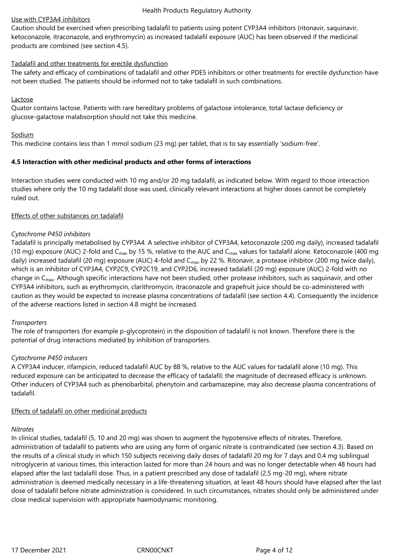## Use with CYP3A4 inhibitors

Caution should be exercised when prescribing tadalafil to patients using potent CYP3A4 inhibitors (ritonavir, saquinavir, ketoconazole, itraconazole, and erythromycin) as increased tadalafil exposure (AUC) has been observed if the medicinal products are combined (see section 4.5).

## Tadalafil and other treatments for erectile dysfunction

The safety and efficacy of combinations of tadalafil and other PDE5 inhibitors or other treatments for erectile dysfunction have not been studied. The patients should be informed not to take tadalafil in such combinations.

## Lactose

Quator contains lactose. Patients with rare hereditary problems of galactose intolerance, total lactase deficiency or glucose-galactose malabsorption should not take this medicine.

## Sodium

This medicine contains less than 1 mmol sodium (23 mg) per tablet, that is to say essentially 'sodium-free'.

## **4.5 Interaction with other medicinal products and other forms of interactions**

Interaction studies were conducted with 10 mg and/or 20 mg tadalafil, as indicated below. With regard to those interaction studies where only the 10 mg tadalafil dose was used, clinically relevant interactions at higher doses cannot be completely ruled out.

## Effects of other substances on tadalafil

## *Cytochrome P450 inhibitors*

Tadalafil is principally metabolised by CYP3A4. A selective inhibitor of CYP3A4, ketoconazole (200 mg daily), increased tadalafil (10 mg) exposure (AUC) 2-fold and C<sub>max</sub> by 15 %, relative to the AUC and C<sub>max</sub> values for tadalafil alone. Ketoconazole (400 mg) daily) increased tadalafil (20 mg) exposure (AUC) 4-fold and  $C_{\text{max}}$  by 22 %. Ritonavir, a protease inhibitor (200 mg twice daily), which is an inhibitor of CYP3A4, CYP2C9, CYP2C19, and CYP2D6, increased tadalafil (20 mg) exposure (AUC) 2-fold with no change in  $C_{\text{max}}$ . Although specific interactions have not been studied, other protease inhibitors, such as saquinavir, and other CYP3A4 inhibitors, such as erythromycin, clarithromycin, itraconazole and grapefruit juice should be co-administered with caution as they would be expected to increase plasma concentrations of tadalafil (see section 4.4). Consequently the incidence of the adverse reactions listed in section 4.8 might be increased.

## *Transporters*

The role of transporters (for example p-glycoprotein) in the disposition of tadalafil is not known. Therefore there is the potential of drug interactions mediated by inhibition of transporters.

## *Cytochrome P450 inducers*

A CYP3A4 inducer, rifampicin, reduced tadalafil AUC by 88 %, relative to the AUC values for tadalafil alone (10 mg). This reduced exposure can be anticipated to decrease the efficacy of tadalafil; the magnitude of decreased efficacy is unknown. Other inducers of CYP3A4 such as phenobarbital, phenytoin and carbamazepine, may also decrease plasma concentrations of tadalafil.

## Effects of tadalafil on other medicinal products

## *Nitrates*

In clinical studies, tadalafil (5, 10 and 20 mg) was shown to augment the hypotensive effects of nitrates. Therefore, administration of tadalafil to patients who are using any form of organic nitrate is contraindicated (see section 4.3). Based on the results of a clinical study in which 150 subjects receiving daily doses of tadalafil 20 mg for 7 days and 0.4 mg sublingual nitroglycerin at various times, this interaction lasted for more than 24 hours and was no longer detectable when 48 hours had elapsed after the last tadalafil dose. Thus, in a patient prescribed any dose of tadalafil (2.5 mg-20 mg), where nitrate administration is deemed medically necessary in a life-threatening situation, at least 48 hours should have elapsed after the last dose of tadalafil before nitrate administration is considered. In such circumstances, nitrates should only be administered under close medical supervision with appropriate haemodynamic monitoring.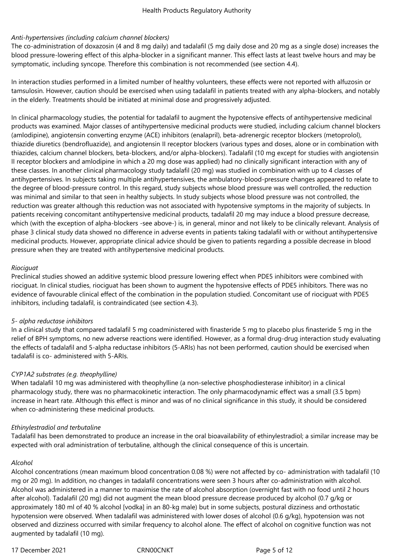# *Anti-hypertensives (including calcium channel blockers)*

The co-administration of doxazosin (4 and 8 mg daily) and tadalafil (5 mg daily dose and 20 mg as a single dose) increases the blood pressure-lowering effect of this alpha-blocker in a significant manner. This effect lasts at least twelve hours and may be symptomatic, including syncope. Therefore this combination is not recommended (see section 4.4).

In interaction studies performed in a limited number of healthy volunteers, these effects were not reported with alfuzosin or tamsulosin. However, caution should be exercised when using tadalafil in patients treated with any alpha-blockers, and notably in the elderly. Treatments should be initiated at minimal dose and progressively adjusted.

In clinical pharmacology studies, the potential for tadalafil to augment the hypotensive effects of antihypertensive medicinal products was examined. Major classes of antihypertensive medicinal products were studied, including calcium channel blockers (amlodipine), angiotensin converting enzyme (ACE) inhibitors (enalapril), beta-adrenergic receptor blockers (metoprolol), thiazide diuretics (bendrofluazide), and angiotensin II receptor blockers (various types and doses, alone or in combination with thiazides, calcium channel blockers, beta-blockers, and/or alpha-blockers). Tadalafil (10 mg except for studies with angiotensin II receptor blockers and amlodipine in which a 20 mg dose was applied) had no clinically significant interaction with any of these classes. In another clinical pharmacology study tadalafil (20 mg) was studied in combination with up to 4 classes of antihypertensives. In subjects taking multiple antihypertensives, the ambulatory-blood-pressure changes appeared to relate to the degree of blood-pressure control. In this regard, study subjects whose blood pressure was well controlled, the reduction was minimal and similar to that seen in healthy subjects. In study subjects whose blood pressure was not controlled, the reduction was greater although this reduction was not associated with hypotensive symptoms in the majority of subjects. In patients receiving concomitant antihypertensive medicinal products, tadalafil 20 mg may induce a blood pressure decrease, which (with the exception of alpha-blockers -see above-) is, in general, minor and not likely to be clinically relevant. Analysis of phase 3 clinical study data showed no difference in adverse events in patients taking tadalafil with or without antihypertensive medicinal products. However, appropriate clinical advice should be given to patients regarding a possible decrease in blood pressure when they are treated with antihypertensive medicinal products.

# *Riociguat*

Preclinical studies showed an additive systemic blood pressure lowering effect when PDE5 inhibitors were combined with riociguat. In clinical studies, riociguat has been shown to augment the hypotensive effects of PDE5 inhibitors. There was no evidence of favourable clinical effect of the combination in the population studied. Concomitant use of riociguat with PDE5 inhibitors, including tadalafil, is contraindicated (see section 4.3).

# *5- alpha reductase inhibitors*

In a clinical study that compared tadalafil 5 mg coadministered with finasteride 5 mg to placebo plus finasteride 5 mg in the relief of BPH symptoms, no new adverse reactions were identified. However, as a formal drug-drug interaction study evaluating the effects of tadalafil and 5-alpha reductase inhibitors (5-ARIs) has not been performed, caution should be exercised when tadalafil is co- administered with 5-ARIs.

# *CYP1A2 substrates (e.g. theophylline)*

When tadalafil 10 mg was administered with theophylline (a non-selective phosphodiesterase inhibitor) in a clinical pharmacology study, there was no pharmacokinetic interaction. The only pharmacodynamic effect was a small (3.5 bpm) increase in heart rate. Although this effect is minor and was of no clinical significance in this study, it should be considered when co-administering these medicinal products.

# *Ethinylestradiol and terbutaline*

Tadalafil has been demonstrated to produce an increase in the oral bioavailability of ethinylestradiol; a similar increase may be expected with oral administration of terbutaline, although the clinical consequence of this is uncertain.

## *Alcohol*

Alcohol concentrations (mean maximum blood concentration 0.08 %) were not affected by co- administration with tadalafil (10 mg or 20 mg). In addition, no changes in tadalafil concentrations were seen 3 hours after co-administration with alcohol. Alcohol was administered in a manner to maximise the rate of alcohol absorption (overnight fast with no food until 2 hours after alcohol). Tadalafil (20 mg) did not augment the mean blood pressure decrease produced by alcohol (0.7 g/kg or approximately 180 ml of 40 % alcohol [vodka] in an 80-kg male) but in some subjects, postural dizziness and orthostatic hypotension were observed. When tadalafil was administered with lower doses of alcohol (0.6 g/kg), hypotension was not observed and dizziness occurred with similar frequency to alcohol alone. The effect of alcohol on cognitive function was not augmented by tadalafil (10 mg).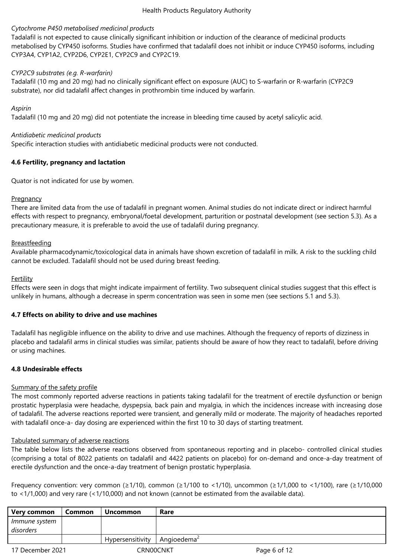## *Cytochrome P450 metabolised medicinal products*

Tadalafil is not expected to cause clinically significant inhibition or induction of the clearance of medicinal products metabolised by CYP450 isoforms. Studies have confirmed that tadalafil does not inhibit or induce CYP450 isoforms, including CYP3A4, CYP1A2, CYP2D6, CYP2E1, CYP2C9 and CYP2C19.

# *CYP2C9 substrates (e.g. R-warfarin)*

Tadalafil (10 mg and 20 mg) had no clinically significant effect on exposure (AUC) to S-warfarin or R-warfarin (CYP2C9 substrate), nor did tadalafil affect changes in prothrombin time induced by warfarin.

## *Aspirin*

Tadalafil (10 mg and 20 mg) did not potentiate the increase in bleeding time caused by acetyl salicylic acid.

## *Antidiabetic medicinal products*

Specific interaction studies with antidiabetic medicinal products were not conducted.

## **4.6 Fertility, pregnancy and lactation**

Quator is not indicated for use by women.

## **Pregnancy**

There are limited data from the use of tadalafil in pregnant women. Animal studies do not indicate direct or indirect harmful effects with respect to pregnancy, embryonal/foetal development, parturition or postnatal development (see section 5.3). As a precautionary measure, it is preferable to avoid the use of tadalafil during pregnancy.

## Breastfeeding

Available pharmacodynamic/toxicological data in animals have shown excretion of tadalafil in milk. A risk to the suckling child cannot be excluded. Tadalafil should not be used during breast feeding.

## **Fertility**

Effects were seen in dogs that might indicate impairment of fertility. Two subsequent clinical studies suggest that this effect is unlikely in humans, although a decrease in sperm concentration was seen in some men (see sections 5.1 and 5.3).

## **4.7 Effects on ability to drive and use machines**

Tadalafil has negligible influence on the ability to drive and use machines. Although the frequency of reports of dizziness in placebo and tadalafil arms in clinical studies was similar, patients should be aware of how they react to tadalafil, before driving or using machines.

# **4.8 Undesirable effects**

## Summary of the safety profile

The most commonly reported adverse reactions in patients taking tadalafil for the treatment of erectile dysfunction or benign prostatic hyperplasia were headache, dyspepsia, back pain and myalgia, in which the incidences increase with increasing dose of tadalafil. The adverse reactions reported were transient, and generally mild or moderate. The majority of headaches reported with tadalafil once-a- day dosing are experienced within the first 10 to 30 days of starting treatment.

## Tabulated summary of adverse reactions

The table below lists the adverse reactions observed from spontaneous reporting and in placebo- controlled clinical studies (comprising a total of 8022 patients on tadalafil and 4422 patients on placebo) for on-demand and once-a-day treatment of erectile dysfunction and the once-a-day treatment of benign prostatic hyperplasia.

Frequency convention: very common (≥1/10), common (≥1/100 to <1/10), uncommon (≥1/1,000 to <1/100), rare (≥1/10,000 to <1/1,000) and very rare (<1/10,000) and not known (cannot be estimated from the available data).

| Very common                | Common | <b>Uncommon</b>  | Rare       |              |
|----------------------------|--------|------------------|------------|--------------|
| Immune system<br>disorders |        |                  |            |              |
|                            |        | Hypersensitivity | Angioedema |              |
| 17 December 2021           |        | CRN00CNKT        |            | Page 6 of 12 |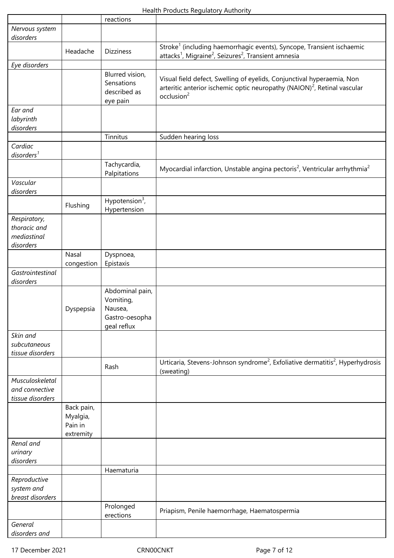|                                |            | reactions                     |                                                                                                        |
|--------------------------------|------------|-------------------------------|--------------------------------------------------------------------------------------------------------|
| Nervous system                 |            |                               |                                                                                                        |
| disorders                      |            |                               |                                                                                                        |
|                                | Headache   | <b>Dizziness</b>              | Stroke <sup>1</sup> (including haemorrhagic events), Syncope, Transient ischaemic                      |
|                                |            |                               | attacks <sup>1</sup> , Migraine <sup>2</sup> , Seizures <sup>2</sup> , Transient amnesia               |
| Eye disorders                  |            |                               |                                                                                                        |
|                                |            | Blurred vision,<br>Sensations | Visual field defect, Swelling of eyelids, Conjunctival hyperaemia, Non                                 |
|                                |            | described as                  | arteritic anterior ischemic optic neuropathy (NAION) <sup>2</sup> , Retinal vascular                   |
|                                |            | eye pain                      | occlusion <sup>2</sup>                                                                                 |
| Ear and                        |            |                               |                                                                                                        |
| labyrinth                      |            |                               |                                                                                                        |
| disorders                      |            |                               |                                                                                                        |
|                                |            | Tinnitus                      | Sudden hearing loss                                                                                    |
| Cardiac                        |            |                               |                                                                                                        |
| disorders <sup>1</sup>         |            |                               |                                                                                                        |
|                                |            | Tachycardia,                  |                                                                                                        |
|                                |            | Palpitations                  | Myocardial infarction, Unstable angina pectoris <sup>2</sup> , Ventricular arrhythmia <sup>2</sup>     |
| Vascular                       |            |                               |                                                                                                        |
| disorders                      |            |                               |                                                                                                        |
|                                | Flushing   | Hypotension <sup>3</sup> ,    |                                                                                                        |
|                                |            | Hypertension                  |                                                                                                        |
| Respiratory,                   |            |                               |                                                                                                        |
| thoracic and                   |            |                               |                                                                                                        |
| mediastinal                    |            |                               |                                                                                                        |
| disorders                      |            |                               |                                                                                                        |
|                                | Nasal      | Dyspnoea,                     |                                                                                                        |
|                                | congestion | Epistaxis                     |                                                                                                        |
| Gastrointestinal               |            |                               |                                                                                                        |
| disorders                      |            |                               |                                                                                                        |
|                                |            | Abdominal pain,               |                                                                                                        |
|                                |            | Vomiting,<br>Nausea,          |                                                                                                        |
|                                | Dyspepsia  | Gastro-oesopha                |                                                                                                        |
|                                |            | geal reflux                   |                                                                                                        |
| Skin and                       |            |                               |                                                                                                        |
| subcutaneous                   |            |                               |                                                                                                        |
| tissue disorders               |            |                               |                                                                                                        |
|                                |            |                               | Urticaria, Stevens-Johnson syndrome <sup>2</sup> , Exfoliative dermatitis <sup>2</sup> , Hyperhydrosis |
|                                |            | Rash                          | (sweating)                                                                                             |
| Musculoskeletal                |            |                               |                                                                                                        |
| and connective                 |            |                               |                                                                                                        |
| tissue disorders               |            |                               |                                                                                                        |
|                                | Back pain, |                               |                                                                                                        |
|                                | Myalgia,   |                               |                                                                                                        |
|                                | Pain in    |                               |                                                                                                        |
|                                | extremity  |                               |                                                                                                        |
| Renal and                      |            |                               |                                                                                                        |
| urinary                        |            |                               |                                                                                                        |
| disorders                      |            |                               |                                                                                                        |
|                                |            | Haematuria                    |                                                                                                        |
| Reproductive                   |            |                               |                                                                                                        |
| system and<br>breast disorders |            |                               |                                                                                                        |
|                                |            | Prolonged                     |                                                                                                        |
|                                |            | erections                     | Priapism, Penile haemorrhage, Haematospermia                                                           |
| General                        |            |                               |                                                                                                        |
| disorders and                  |            |                               |                                                                                                        |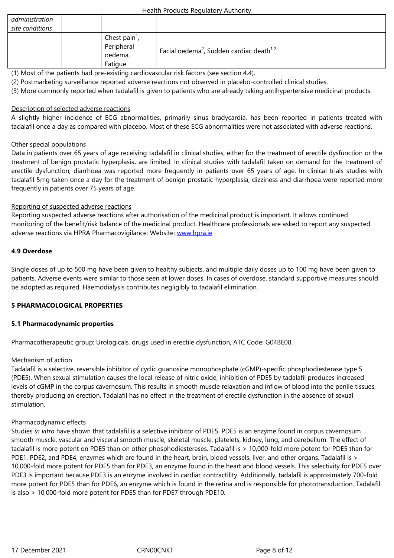| Chest pain <sup>1</sup> ,<br>Peripheral | Facial oedema <sup>2</sup> , Sudden cardiac death <sup>1,2</sup> |
|-----------------------------------------|------------------------------------------------------------------|
| oedema,<br>Fatique                      |                                                                  |

(1) Most of the patients had pre-existing cardiovascular risk factors (see section 4.4).

(2) Postmarketing surveillance reported adverse reactions not observed in placebo-controlled clinical studies.

(3) More commonly reported when tadalafil is given to patients who are already taking antihypertensive medicinal products.

## Description of selected adverse reactions

A slightly higher incidence of ECG abnormalities, primarily sinus bradycardia, has been reported in patients treated with tadalafil once a day as compared with placebo. Most of these ECG abnormalities were not associated with adverse reactions.

## Other special populations

Data in patients over 65 years of age receiving tadalafil in clinical studies, either for the treatment of erectile dysfunction or the treatment of benign prostatic hyperplasia, are limited. In clinical studies with tadalafil taken on demand for the treatment of erectile dysfunction, diarrhoea was reported more frequently in patients over 65 years of age. In clinical trials studies with tadalafil 5mg taken once a day for the treatment of benign prostatic hyperplasia, dizziness and diarrhoea were reported more frequently in patients over 75 years of age.

## Reporting of suspected adverse reactions

Reporting suspected adverse reactions after authorisation of the medicinal product is important. It allows continued monitoring of the benefit/risk balance of the medicinal product. Healthcare professionals are asked to report any suspected adverse reactions via HPRA Pharmacovigilance: Website: www.hpra.ie

## **4.9 Overdose**

Single doses of up to 500 mg have been given to healthy [subjects, an](http://www.hpra.ie/)d multiple daily doses up to 100 mg have been given to patients. Adverse events were similar to those seen at lower doses. In cases of overdose, standard supportive measures should be adopted as required. Haemodialysis contributes negligibly to tadalafil elimination.

## **5 PHARMACOLOGICAL PROPERTIES**

## **5.1 Pharmacodynamic properties**

Pharmacotherapeutic group: Urologicals, drugs used in erectile dysfunction, ATC Code: G04BE08.

## Mechanism of action

Tadalafil is a selective, reversible inhibitor of cyclic guanosine monophosphate (cGMP)-specific phosphodiesterase type 5 (PDE5). When sexual stimulation causes the local release of nitric oxide, inhibition of PDE5 by tadalafil produces increased levels of cGMP in the corpus cavernosum. This results in smooth muscle relaxation and inflow of blood into the penile tissues, thereby producing an erection. Tadalafil has no effect in the treatment of erectile dysfunction in the absence of sexual stimulation.

## Pharmacodynamic effects

Studies *in vitro* have shown that tadalafil is a selective inhibitor of PDE5. PDE5 is an enzyme found in corpus cavernosum smooth muscle, vascular and visceral smooth muscle, skeletal muscle, platelets, kidney, lung, and cerebellum. The effect of tadalafil is more potent on PDE5 than on other phosphodiesterases. Tadalafil is > 10,000-fold more potent for PDE5 than for PDE1, PDE2, and PDE4, enzymes which are found in the heart, brain, blood vessels, liver, and other organs. Tadalafil is > 10,000-fold more potent for PDE5 than for PDE3, an enzyme found in the heart and blood vessels. This selectivity for PDE5 over PDE3 is important because PDE3 is an enzyme involved in cardiac contractility. Additionally, tadalafil is approximately 700-fold more potent for PDE5 than for PDE6, an enzyme which is found in the retina and is responsible for phototransduction. Tadalafil is also > 10,000-fold more potent for PDE5 than for PDE7 through PDE10.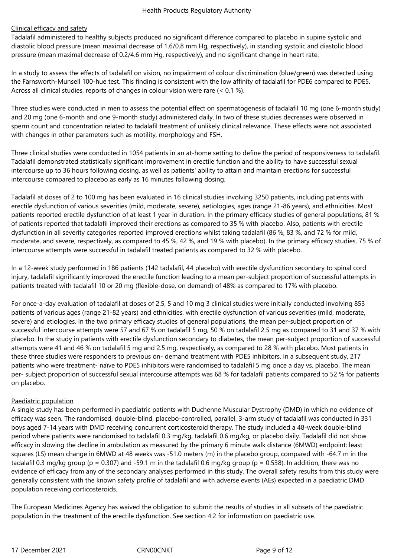# Clinical efficacy and safety

Tadalafil administered to healthy subjects produced no significant difference compared to placebo in supine systolic and diastolic blood pressure (mean maximal decrease of 1.6/0.8 mm Hg, respectively), in standing systolic and diastolic blood pressure (mean maximal decrease of 0.2/4.6 mm Hg, respectively), and no significant change in heart rate.

In a study to assess the effects of tadalafil on vision, no impairment of colour discrimination (blue/green) was detected using the Farnsworth-Munsell 100-hue test. This finding is consistent with the low affinity of tadalafil for PDE6 compared to PDE5. Across all clinical studies, reports of changes in colour vision were rare (< 0.1 %).

Three studies were conducted in men to assess the potential effect on spermatogenesis of tadalafil 10 mg (one 6-month study) and 20 mg (one 6-month and one 9-month study) administered daily. In two of these studies decreases were observed in sperm count and concentration related to tadalafil treatment of unlikely clinical relevance. These effects were not associated with changes in other parameters such as motility, morphology and FSH.

Three clinical studies were conducted in 1054 patients in an at-home setting to define the period of responsiveness to tadalafil. Tadalafil demonstrated statistically significant improvement in erectile function and the ability to have successful sexual intercourse up to 36 hours following dosing, as well as patients' ability to attain and maintain erections for successful intercourse compared to placebo as early as 16 minutes following dosing.

Tadalafil at doses of 2 to 100 mg has been evaluated in 16 clinical studies involving 3250 patients, including patients with erectile dysfunction of various severities (mild, moderate, severe), aetiologies, ages (range 21-86 years), and ethnicities. Most patients reported erectile dysfunction of at least 1 year in duration. In the primary efficacy studies of general populations, 81 % of patients reported that tadalafil improved their erections as compared to 35 % with placebo. Also, patients with erectile dysfunction in all severity categories reported improved erections whilst taking tadalafil (86 %, 83 %, and 72 % for mild, moderate, and severe, respectively, as compared to 45 %, 42 %, and 19 % with placebo). In the primary efficacy studies, 75 % of intercourse attempts were successful in tadalafil treated patients as compared to 32 % with placebo.

In a 12-week study performed in 186 patients (142 tadalafil, 44 placebo) with erectile dysfunction secondary to spinal cord injury, tadalafil significantly improved the erectile function leading to a mean per-subject proportion of successful attempts in patients treated with tadalafil 10 or 20 mg (flexible-dose, on demand) of 48% as compared to 17% with placebo.

For once-a-day evaluation of tadalafil at doses of 2.5, 5 and 10 mg 3 clinical studies were initially conducted involving 853 patients of various ages (range 21-82 years) and ethnicities, with erectile dysfunction of various severities (mild, moderate, severe) and etiologies. In the two primary efficacy studies of general populations, the mean per-subject proportion of successful intercourse attempts were 57 and 67 % on tadalafil 5 mg, 50 % on tadalafil 2.5 mg as compared to 31 and 37 % with placebo. In the study in patients with erectile dysfunction secondary to diabetes, the mean per-subject proportion of successful attempts were 41 and 46 % on tadalafil 5 mg and 2.5 mg, respectively, as compared to 28 % with placebo. Most patients in these three studies were responders to previous on- demand treatment with PDE5 inhibitors. In a subsequent study, 217 patients who were treatment- naïve to PDE5 inhibitors were randomised to tadalafil 5 mg once a day vs. placebo. The mean per- subject proportion of successful sexual intercourse attempts was 68 % for tadalafil patients compared to 52 % for patients on placebo.

## Paediatric population

A single study has been performed in paediatric patients with Duchenne Muscular Dystrophy (DMD) in which no evidence of efficacy was seen. The randomised, double-blind, placebo-controlled, parallel, 3-arm study of tadalafil was conducted in 331 boys aged 7-14 years with DMD receiving concurrent corticosteroid therapy. The study included a 48-week double-blind period where patients were randomised to tadalafil 0.3 mg/kg, tadalafil 0.6 mg/kg, or placebo daily. Tadalafil did not show efficacy in slowing the decline in ambulation as measured by the primary 6 minute walk distance (6MWD) endpoint: least squares (LS) mean change in 6MWD at 48 weeks was -51.0 meters (m) in the placebo group, compared with -64.7 m in the tadalafil 0.3 mg/kg group (p = 0.307) and -59.1 m in the tadalafil 0.6 mg/kg group (p = 0.538). In addition, there was no evidence of efficacy from any of the secondary analyses performed in this study. The overall safety results from this study were generally consistent with the known safety profile of tadalafil and with adverse events (AEs) expected in a paediatric DMD population receiving corticosteroids.

The European Medicines Agency has waived the obligation to submit the results of studies in all subsets of the paediatric population in the treatment of the erectile dysfunction. See section 4.2 for information on paediatric use.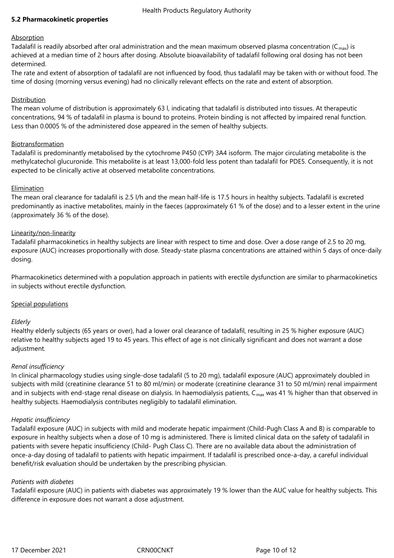## **5.2 Pharmacokinetic properties**

## Absorption

Tadalafil is readily absorbed after oral administration and the mean maximum observed plasma concentration ( $C_{\text{max}}$ ) is achieved at a median time of 2 hours after dosing. Absolute bioavailability of tadalafil following oral dosing has not been determined.

The rate and extent of absorption of tadalafil are not influenced by food, thus tadalafil may be taken with or without food. The time of dosing (morning versus evening) had no clinically relevant effects on the rate and extent of absorption.

## Distribution

The mean volume of distribution is approximately 63 l, indicating that tadalafil is distributed into tissues. At therapeutic concentrations, 94 % of tadalafil in plasma is bound to proteins. Protein binding is not affected by impaired renal function. Less than 0.0005 % of the administered dose appeared in the semen of healthy subjects.

## Biotransformation

Tadalafil is predominantly metabolised by the cytochrome P450 (CYP) 3A4 isoform. The major circulating metabolite is the methylcatechol glucuronide. This metabolite is at least 13,000-fold less potent than tadalafil for PDE5. Consequently, it is not expected to be clinically active at observed metabolite concentrations.

## Elimination

The mean oral clearance for tadalafil is 2.5 l/h and the mean half-life is 17.5 hours in healthy subjects. Tadalafil is excreted predominantly as inactive metabolites, mainly in the faeces (approximately 61 % of the dose) and to a lesser extent in the urine (approximately 36 % of the dose).

## Linearity/non-linearity

Tadalafil pharmacokinetics in healthy subjects are linear with respect to time and dose. Over a dose range of 2.5 to 20 mg, exposure (AUC) increases proportionally with dose. Steady-state plasma concentrations are attained within 5 days of once-daily dosing.

Pharmacokinetics determined with a population approach in patients with erectile dysfunction are similar to pharmacokinetics in subjects without erectile dysfunction.

## Special populations

## *Elderly*

Healthy elderly subjects (65 years or over), had a lower oral clearance of tadalafil, resulting in 25 % higher exposure (AUC) relative to healthy subjects aged 19 to 45 years. This effect of age is not clinically significant and does not warrant a dose adjustment.

## *Renal insufficiency*

In clinical pharmacology studies using single-dose tadalafil (5 to 20 mg), tadalafil exposure (AUC) approximately doubled in subjects with mild (creatinine clearance 51 to 80 ml/min) or moderate (creatinine clearance 31 to 50 ml/min) renal impairment and in subjects with end-stage renal disease on dialysis. In haemodialysis patients,  $C_{\text{max}}$  was 41 % higher than that observed in healthy subjects. Haemodialysis contributes negligibly to tadalafil elimination.

## *Hepatic insufficiency*

Tadalafil exposure (AUC) in subjects with mild and moderate hepatic impairment (Child-Pugh Class A and B) is comparable to exposure in healthy subjects when a dose of 10 mg is administered. There is limited clinical data on the safety of tadalafil in patients with severe hepatic insufficiency (Child- Pugh Class C). There are no available data about the administration of once-a-day dosing of tadalafil to patients with hepatic impairment. If tadalafil is prescribed once-a-day, a careful individual benefit/risk evaluation should be undertaken by the prescribing physician.

## *Patients with diabetes*

Tadalafil exposure (AUC) in patients with diabetes was approximately 19 % lower than the AUC value for healthy subjects. This difference in exposure does not warrant a dose adjustment.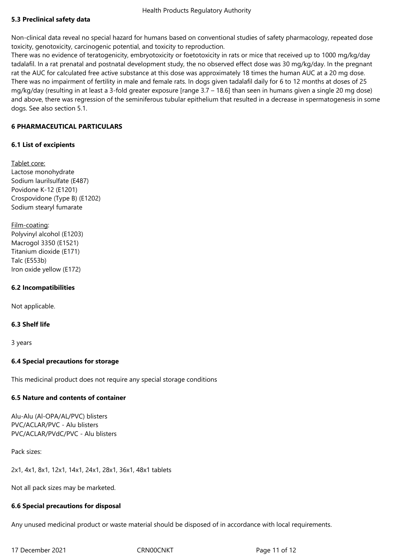# **5.3 Preclinical safety data**

Non-clinical data reveal no special hazard for humans based on conventional studies of safety pharmacology, repeated dose toxicity, genotoxicity, carcinogenic potential, and toxicity to reproduction.

There was no evidence of teratogenicity, embryotoxicity or foetotoxicity in rats or mice that received up to 1000 mg/kg/day tadalafil. In a rat prenatal and postnatal development study, the no observed effect dose was 30 mg/kg/day. In the pregnant rat the AUC for calculated free active substance at this dose was approximately 18 times the human AUC at a 20 mg dose. There was no impairment of fertility in male and female rats. In dogs given tadalafil daily for 6 to 12 months at doses of 25 mg/kg/day (resulting in at least a 3-fold greater exposure [range 3.7 – 18.6] than seen in humans given a single 20 mg dose) and above, there was regression of the seminiferous tubular epithelium that resulted in a decrease in spermatogenesis in some dogs. See also section 5.1.

# **6 PHARMACEUTICAL PARTICULARS**

# **6.1 List of excipients**

Tablet core: Lactose monohydrate Sodium laurilsulfate (E487) Povidone K-12 (E1201) Crospovidone (Type B) (E1202) Sodium stearyl fumarate

Film-coating: Polyvinyl alcohol (E1203) Macrogol 3350 (E1521) Titanium dioxide (E171) Talc (E553b) Iron oxide yellow (E172)

# **6.2 Incompatibilities**

Not applicable.

# **6.3 Shelf life**

3 years

# **6.4 Special precautions for storage**

This medicinal product does not require any special storage conditions

# **6.5 Nature and contents of container**

Alu-Alu (Al-OPA/AL/PVC) blisters PVC/ACLAR/PVC - Alu blisters PVC/ACLAR/PVdC/PVC - Alu blisters

Pack sizes:

2x1, 4x1, 8x1, 12x1, 14x1, 24x1, 28x1, 36x1, 48x1 tablets

Not all pack sizes may be marketed.

# **6.6 Special precautions for disposal**

Any unused medicinal product or waste material should be disposed of in accordance with local requirements.

17 December 2021 **CRNOOCNAT** CRNOOCNET **Page 11 of 12**